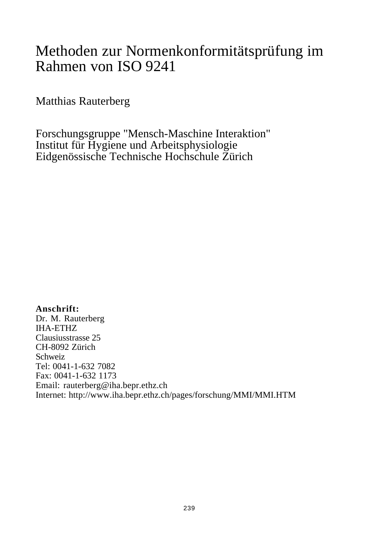### Methoden zur Normenkonformitätsprüfung im Rahmen von ISO 9241

Matthias Rauterberg

Forschungsgruppe "Mensch-Maschine Interaktion" Institut für Hygiene und Arbeitsphysiologie Eidgenössische Technische Hochschule Zürich

**Anschrift:** Dr. M. Rauterberg IHA-ETHZ Clausiusstrasse 25 CH-8092 Zürich Schweiz Tel: 0041-1-632 7082 Fax: 0041-1-632 1173 Email: rauterberg@iha.bepr.ethz.ch Internet: http://www.iha.bepr.ethz.ch/pages/forschung/MMI/MMI.HTM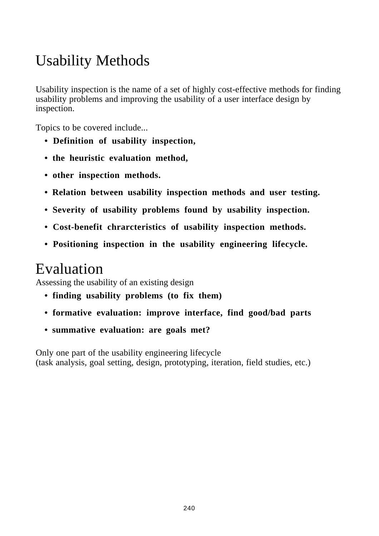## Usability Methods

Usability inspection is the name of a set of highly cost-effective methods for finding usability problems and improving the usability of a user interface design by inspection.

Topics to be covered include...

- **Definition of usability inspection,**
- **the heuristic evaluation method,**
- **other inspection methods.**
- **Relation between usability inspection methods and user testing.**
- **Severity of usability problems found by usability inspection.**
- **Cost-benefit chrarcteristics of usability inspection methods.**
- **Positioning inspection in the usability engineering lifecycle.**

## Evaluation

Assessing the usability of an existing design

- **finding usability problems (to fix them)**
- **formative evaluation: improve interface, find good/bad parts**
- **summative evaluation: are goals met?**

Only one part of the usability engineering lifecycle (task analysis, goal setting, design, prototyping, iteration, field studies, etc.)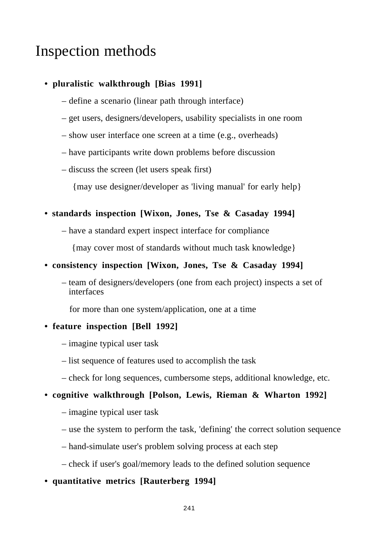### Inspection methods

### **• pluralistic walkthrough [Bias 1991]**

- define a scenario (linear path through interface)
- get users, designers/developers, usability specialists in one room
- show user interface one screen at a time (e.g., overheads)
- have participants write down problems before discussion
- discuss the screen (let users speak first)

{may use designer/developer as 'living manual' for early help}

### **• standards inspection [Wixon, Jones, Tse & Casaday 1994]**

– have a standard expert inspect interface for compliance

{may cover most of standards without much task knowledge}

#### **• consistency inspection [Wixon, Jones, Tse & Casaday 1994]**

– team of designers/developers (one from each project) inspects a set of interfaces

for more than one system/application, one at a time

### **• feature inspection [Bell 1992]**

- imagine typical user task
- list sequence of features used to accomplish the task
- check for long sequences, cumbersome steps, additional knowledge, etc.

### **• cognitive walkthrough [Polson, Lewis, Rieman & Wharton 1992]**

- imagine typical user task
- use the system to perform the task, 'defining' the correct solution sequence
- hand-simulate user's problem solving process at each step
- check if user's goal/memory leads to the defined solution sequence
- **quantitative metrics [Rauterberg 1994]**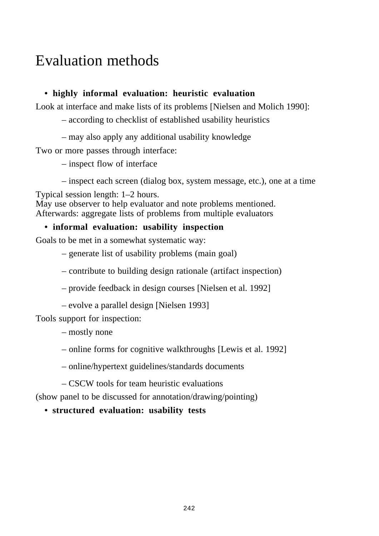## Evaluation methods

### **• highly informal evaluation: heuristic evaluation**

Look at interface and make lists of its problems [Nielsen and Molich 1990]:

– according to checklist of established usability heuristics

– may also apply any additional usability knowledge

Two or more passes through interface:

– inspect flow of interface

– inspect each screen (dialog box, system message, etc.), one at a time

Typical session length: 1–2 hours.

May use observer to help evaluator and note problems mentioned. Afterwards: aggregate lists of problems from multiple evaluators

### **• informal evaluation: usability inspection**

Goals to be met in a somewhat systematic way:

– generate list of usability problems (main goal)

- contribute to building design rationale (artifact inspection)
- provide feedback in design courses [Nielsen et al. 1992]
- evolve a parallel design [Nielsen 1993]

Tools support for inspection:

- mostly none
- online forms for cognitive walkthroughs [Lewis et al. 1992]
- online/hypertext guidelines/standards documents

– CSCW tools for team heuristic evaluations

(show panel to be discussed for annotation/drawing/pointing)

**• structured evaluation: usability tests**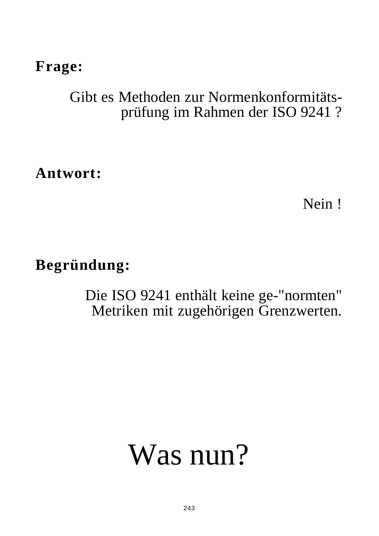### **Frage:**

## Gibt es Methoden zur Normenkonformitätsprüfung im Rahmen der ISO 9241 ?

**Antwort:**

Nein !

## **Begründung:**

Die ISO 9241 enthält keine ge-"normten" Metriken mit zugehörigen Grenzwerten.

# Was nun?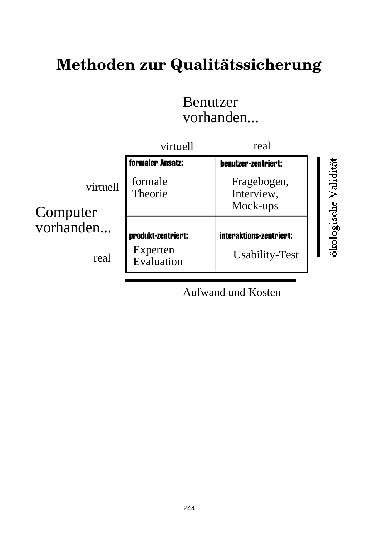## **Methoden zur Qualitätssicherung**

### Benutzer vorhanden...



Aufwand und Kosten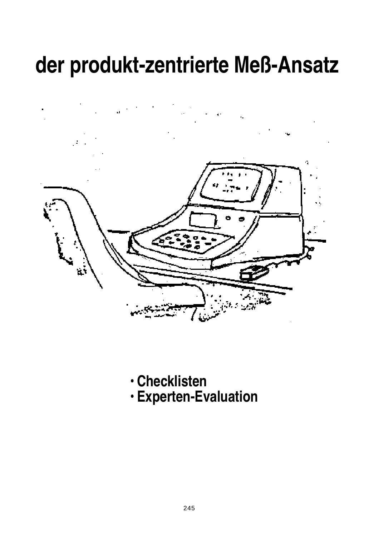# **der produkt-zentrierte Meß-Ansatz**

**• Checklisten • Experten-Evaluation**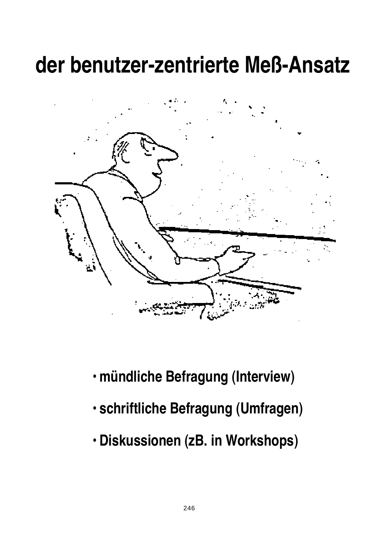## **der benutzer-zentrierte Meß-Ansatz**



- **mündliche Befragung (Interview)**
- **schriftliche Befragung (Umfragen)**
- **Diskussionen (zB. in Workshops)**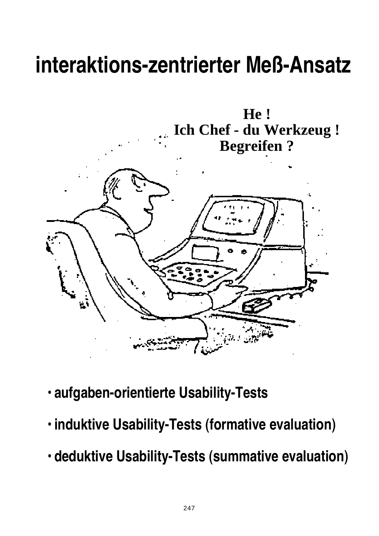# **interaktions-zentrierter Meß-Ansatz**



- **aufgaben-orientierte Usability-Tests**
- **induktive Usability-Tests (formative evaluation)**
- **deduktive Usability-Tests (summative evaluation)**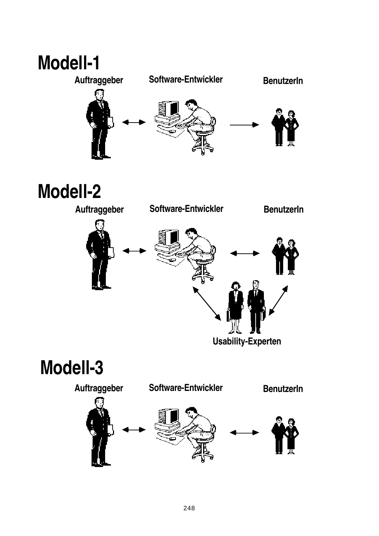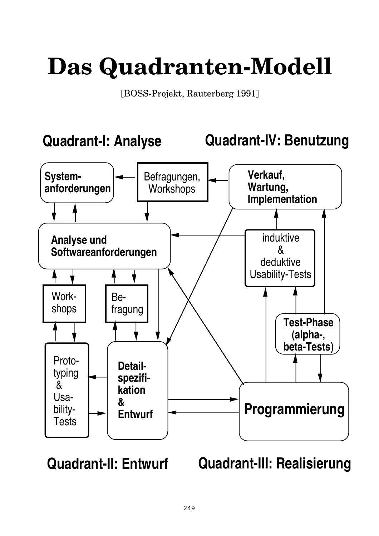# **Das Quadranten-Modell**

[BOSS-Projekt, Rauterberg 1991]



**Quadrant-II: Entwurf Quadrant-III: Realisierung**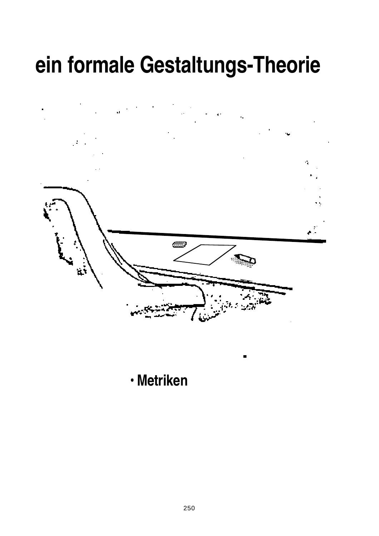# **ein formale Gestaltungs-Theorie**

k,



**• Metriken**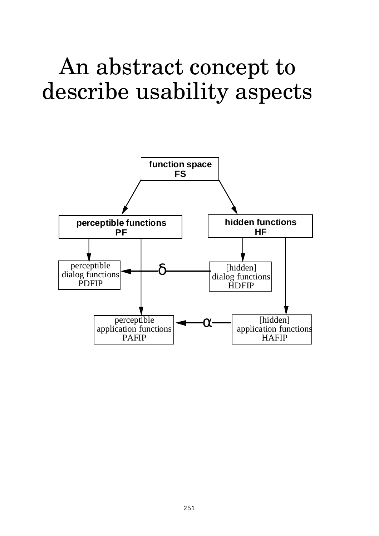# An abstract concept to describe usability aspects

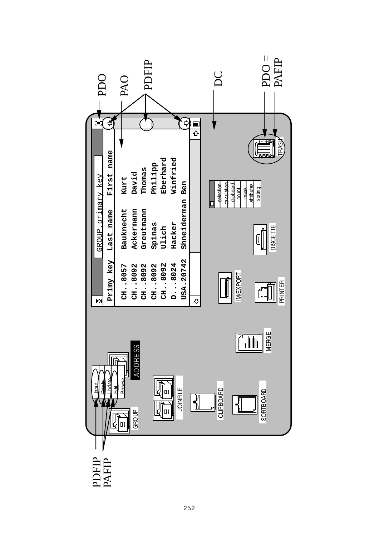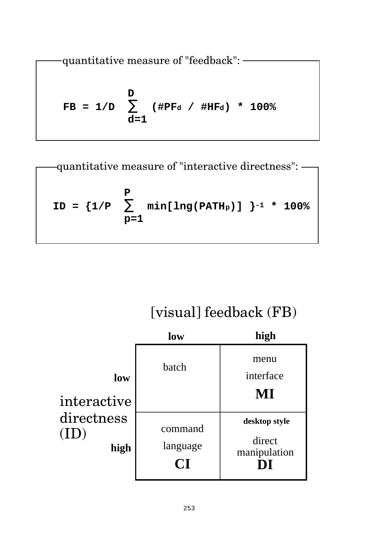—  
\n
$$
quantitative measure of "feedback":
$$

\nFB =  $1/D$ 

\n $\sum_{d=1}^{D}$   $(\#PF_d / \#HF_d) * 100%$ 

**P ID = {1/P** ∑ **min[lng(PATHp)] }-1 \* 100% p=1** quantitative measure of "interactive directness":

## [visual] feedback (FB)

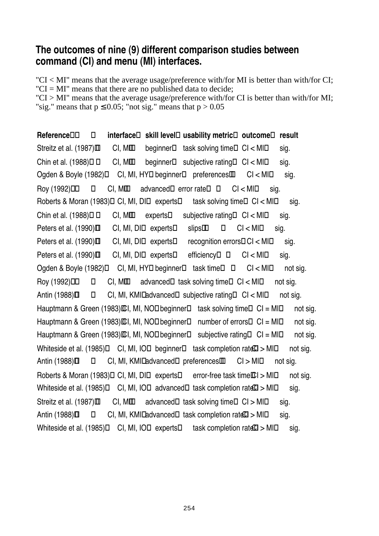### **The outcomes of nine (9) different comparison studies between command (CI) and menu (MI) interfaces.**

"CI < MI" means that the average usage/preference with/for MI is better than with/for CI; " $CI = MI$ " means that there are no published data to decide;

"CI > MI" means that the average usage/preference with/for CI is better than with/for MI; "sig." means that  $p \le 0.05$ ; "not sig." means that  $p > 0.05$ 

| Reference                                                                | interface |                    | skill level usability metric                   | outcome   | result   |
|--------------------------------------------------------------------------|-----------|--------------------|------------------------------------------------|-----------|----------|
| Streitz et al. (1987) CI, MI                                             |           |                    | beginner task solving time CI < MI             |           | sig.     |
| Chin et al. (1988)                                                       | CI, MI    |                    | beginner subjective rating CI < MI             |           | sig.     |
| Ogden & Boyle (1982) CI, MI, HY beginner preferences                     |           |                    |                                                | Cl < Ml   | sig.     |
| Roy (1992)                                                               | CI, MI    |                    | advanced error rate                            | Cl < Ml   | sig.     |
| Roberts & Moran (1983) CI, MI, DI experts task solving time CI < MI      |           |                    |                                                |           | sig.     |
| Chin et al. (1988)                                                       | CI, MI    | experts            | subjective rating CI < MI                      |           | sig.     |
| Peters et al. (1990)                                                     |           | CI, MI, DI experts | slips                                          | Cl < M1   | sig.     |
| Peters et al. (1990)                                                     |           | CI, MI, DI experts | recognition errors $Cl < Ml$                   |           | sig.     |
| Peters et al. (1990) CI, MI, DI experts                                  |           |                    | efficiency                                     | Cl < M1   | sig.     |
| Ogden & Boyle (1982) CI, MI, HY beginner task time                       |           |                    |                                                | Cl < M1   | not sig. |
| Roy (1992)                                                               | CI, MI    |                    | advanced task solving time CI < MI             |           | not sig. |
| Antin (1988)                                                             |           |                    | CI, MI, KMI advanced subjective rating CI < MI |           | not sig. |
| Hauptmann & Green (1983) CI, MI, NO beginner task solving time CI = MI   |           |                    |                                                |           | not sig. |
| Hauptmann & Green (1983) CI, MI, NO beginner number of errors            |           |                    |                                                | $Cl = MI$ | not sig. |
| Hauptmann & Green (1983) CI, MI, NO beginner subjective rating $Cl = MI$ |           |                    |                                                |           | not sig. |
| Whiteside et al. (1985) CI, MI, IO beginner task completion rateCI > MI  |           |                    |                                                |           | not sig. |
| Antin (1988) CI, MI, KMI advanced preferences CI > MI                    |           |                    |                                                |           | not sig. |
| Roberts & Moran (1983) CI, MI, DI experts error-free task time CI > MI   |           |                    |                                                |           | not sig. |
| Whiteside et al. (1985) CI, MI, IO advanced task completion rateCI > MI  |           |                    |                                                |           | sig.     |
| Streitz et al. (1987) CI, MI                                             |           |                    | advanced task solving time $CI > MI$           |           | sig.     |
| Antin (1988) CI, MI, KMI advanced task completion $rat\mathbb{C}$ > MI   |           |                    |                                                |           | sig.     |
| Whiteside et al. (1985)                                                  |           | CI, MI, IO experts | task completion $ratC$ $>$ MI                  |           | sig.     |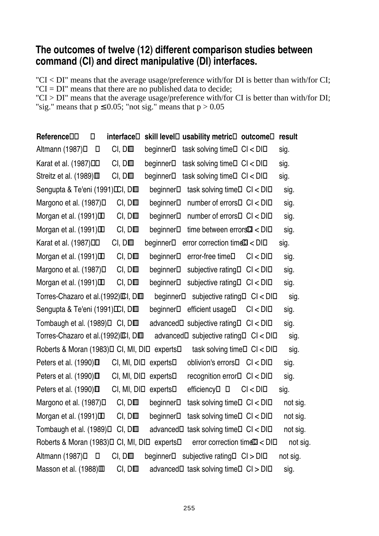### **The outcomes of twelve (12) different comparison studies between command (CI) and direct manipulative (DI) interfaces.**

"CI < DI" means that the average usage/preference with/for DI is better than with/for CI; " $CI = DI$ " means that there are no published data to decide;

"CI > DI" means that the average usage/preference with/for CI is better than with/for DI; "sig." means that  $p \le 0.05$ ; "not sig." means that  $p > 0.05$ 

| Reference                           | interface  | skill level | usability metric                   | outcome | result   |
|-------------------------------------|------------|-------------|------------------------------------|---------|----------|
| Altmann (1987)                      | CI, DI     | beginner    | task solving time                  | CI < DI | sig.     |
| Karat et al. (1987)                 | CI, DI     | beginner    | task solving time                  | Cl < DI | sig.     |
| Streitz et al. (1989)               | CI, DI     | beginner    | task solving time                  | Cl < DI | sig.     |
| Sengupta & Te'eni (1991) CI, DI     |            | beginner    | task solving time                  | Cl < DI | sig.     |
| Margono et al. (1987)               | CI, DI     | beginner    | number of errors                   | Cl < DI | sig.     |
| Morgan et al. (1991)                | CI, DI     | beginner    | number of errors                   | Cl < DI | sig.     |
| Morgan et al. (1991)                | CI, DI     | beginner    | time between $errorC < D1$         |         | sig.     |
| Karat et al. (1987)                 | CI, DI     | beginner    | error correction time $Cl <$ DI    |         | sig.     |
| Morgan et al. (1991)                | CI, DI     | beginner    | error-free time                    | Cl < DI | sig.     |
| Margono et al. (1987)               | CI, DI     | beginner    | subjective rating                  | Cl < DI | sig.     |
| Morgan et al. (1991)                | CI, DI     | beginner    | subjective rating                  | CI < DI | sig.     |
| Torres-Chazaro et al. (1992) CI, DI |            | beginner    | subjective rating                  | Cl < DI | sig.     |
| Sengupta & Te'eni (1991) CI, DI     |            | beginner    | efficient usage                    | CI < DI | sig.     |
| Tombaugh et al. (1989)              | CI, DI     | advanced    | subjective rating                  | CI < DI | sig.     |
| Torres-Chazaro et al. (1992) CI, DI |            | advanced    | subjective rating                  | CI < DI | sig.     |
| Roberts & Moran (1983)              | CI, MI, DI | experts     | task solving time                  | CI < DI | sig.     |
| Peters et al. (1990)                | CI, MI, DI | experts     | oblivion's errors                  | Cl < DI | sig.     |
| Peters et al. (1990)                | CI, MI, DI | experts     | recognition error                  | Cl < DI | sig.     |
| Peters et al. (1990)                | CI, MI, DI | experts     | efficiency                         | Cl < DI | sig.     |
| Margono et al. (1987)               | CI, DI     | beginner    | task solving time                  | Cl < DI | not sig. |
| Morgan et al. (1991)                | CI, DI     |             | beginner task solving time CI < DI |         | not sig. |
| Tombaugh et al. (1989)              | CI, DI     | advanced    | task solving time                  | Cl < DI | not sig. |
| Roberts & Moran (1983)              | CI, MI, DI | experts     | error correction timeCI < DI       |         | not sig. |
| Altmann (1987)                      | CI, DI     | beginner    | subjective rating                  | CI > DI | not sig. |
| Masson et al. (1988)                | CI, DI     | advanced    | task solving time                  | CI > DI | sig.     |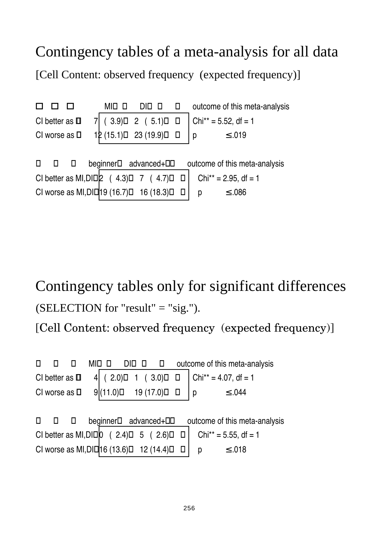## Contingency tables of a meta-analysis for all data

[Cell Content: observed frequency (expected frequency)]

| MI | DI | outcome of this meta-analysis                                                                                                                                              |
|----|----|----------------------------------------------------------------------------------------------------------------------------------------------------------------------------|
|    |    | $Chi^{**} = 5.52$ , df = 1                                                                                                                                                 |
|    |    | $≤ .019$<br>l p                                                                                                                                                            |
|    |    |                                                                                                                                                                            |
|    |    | outcome of this meta-analysis                                                                                                                                              |
|    |    | $Chi^{**} = 2.95$ , df = 1                                                                                                                                                 |
|    |    | ≤ .086<br>p                                                                                                                                                                |
|    |    | $7$ ( 3.9) 2 ( 5.1)<br>12 (15.1) 23 (19.9)<br>beginner advanced+<br>CI better as MI, DI $\begin{vmatrix} 2 & (4.3) & 7 & (4.7) \\ 19 & (16.7) & 16 & (18.3) \end{vmatrix}$ |

Contingency tables only for significant differences (SELECTION for "result" = "sig."). [Cell Content: observed frequency (expected frequency)]

|                                          | MI |          |               | outcome of this meta-analysis |  |
|------------------------------------------|----|----------|---------------|-------------------------------|--|
| CI better as                             |    | (2.0)    | 1(3.0)        | $Chi^* = 4.07$ , df = 1       |  |
| CI worse as                              |    | 9(11.0)  | 19(17.0)      | $≤ .044$<br>p                 |  |
|                                          |    |          |               |                               |  |
|                                          |    | beginner | advanced+     | outcome of this meta-analysis |  |
| CI better as $MI,DI$ $ 0$                |    |          | (2.4) 5 (2.6) | $Chi^* = 5.55$ , df = 1       |  |
| CI worse as MI, DI   16 (13.6) 12 (14.4) |    |          |               | $≤ .018$<br>р                 |  |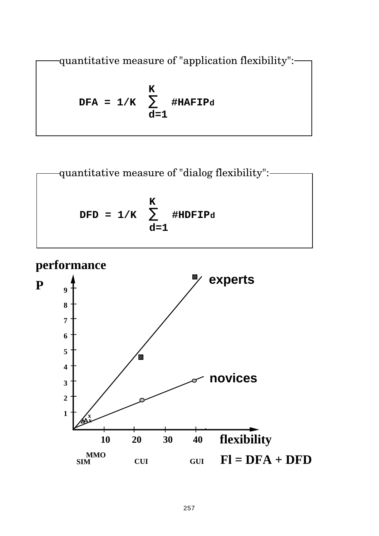quantitative measure of "application flexibility":

$$
DFA = 1/K \sum_{d=1}^{K} #HAFIPd
$$

quantitative measure of "dialog flexibility":

\n**DFD = 1/K**

\n
$$
\sum_{d=1}^{K} \#IDFIPd
$$

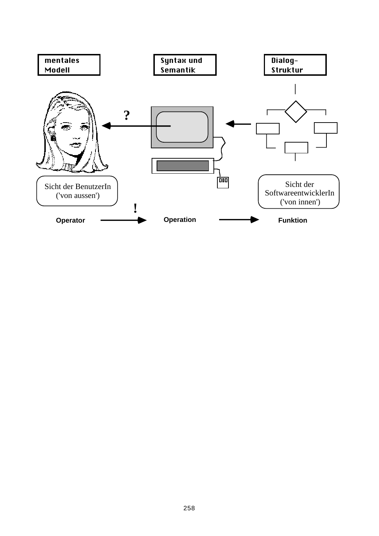